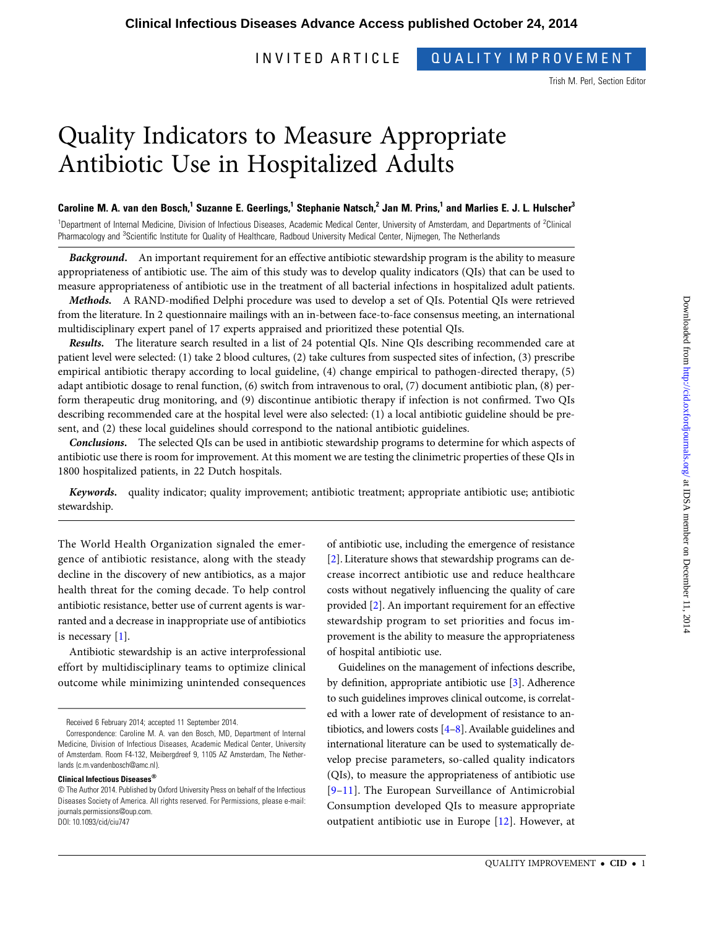## INVITED ARTICLE QUALITY IMPROVEMENT

Trish M. Perl, Section Editor

# Quality Indicators to Measure Appropriate Antibiotic Use in Hospitalized Adults

## Caroline M. A. van den Bosch,<sup>1</sup> Suzanne E. Geerlings,<sup>1</sup> Stephanie Natsch,<sup>2</sup> Jan M. Prins,<sup>1</sup> and Marlies E. J. L. Hulscher<sup>3</sup>

<sup>1</sup>Department of Internal Medicine, Division of Infectious Diseases, Academic Medical Center, University of Amsterdam, and Departments of <sup>2</sup>Clinical Pharmacology and <sup>3</sup>Scientific Institute for Quality of Healthcare, Radboud University Medical Center, Nijmegen, The Netherlands

Background. An important requirement for an effective antibiotic stewardship program is the ability to measure appropriateness of antibiotic use. The aim of this study was to develop quality indicators (QIs) that can be used to measure appropriateness of antibiotic use in the treatment of all bacterial infections in hospitalized adult patients.

Methods. A RAND-modified Delphi procedure was used to develop a set of QIs. Potential QIs were retrieved from the literature. In 2 questionnaire mailings with an in-between face-to-face consensus meeting, an international multidisciplinary expert panel of 17 experts appraised and prioritized these potential QIs.

Results. The literature search resulted in a list of 24 potential QIs. Nine QIs describing recommended care at patient level were selected: (1) take 2 blood cultures, (2) take cultures from suspected sites of infection, (3) prescribe empirical antibiotic therapy according to local guideline, (4) change empirical to pathogen-directed therapy, (5) adapt antibiotic dosage to renal function, (6) switch from intravenous to oral, (7) document antibiotic plan, (8) perform therapeutic drug monitoring, and (9) discontinue antibiotic therapy if infection is not confirmed. Two QIs describing recommended care at the hospital level were also selected: (1) a local antibiotic guideline should be present, and (2) these local guidelines should correspond to the national antibiotic guidelines.

Conclusions. The selected QIs can be used in antibiotic stewardship programs to determine for which aspects of antibiotic use there is room for improvement. At this moment we are testing the clinimetric properties of these QIs in 1800 hospitalized patients, in 22 Dutch hospitals.

Keywords. quality indicator; quality improvement; antibiotic treatment; appropriate antibiotic use; antibiotic stewardship.

The World Health Organization signaled the emergence of antibiotic resistance, along with the steady decline in the discovery of new antibiotics, as a major health threat for the coming decade. To help control antibiotic resistance, better use of current agents is warranted and a decrease in inappropriate use of antibiotics is necessary [[1](#page-10-0)].

Antibiotic stewardship is an active interprofessional effort by multidisciplinary teams to optimize clinical outcome while minimizing unintended consequences

of antibiotic use, including the emergence of resistance [\[2\]](#page-10-0). Literature shows that stewardship programs can decrease incorrect antibiotic use and reduce healthcare costs without negatively influencing the quality of care provided [[2](#page-10-0)]. An important requirement for an effective stewardship program to set priorities and focus improvement is the ability to measure the appropriateness of hospital antibiotic use.

Guidelines on the management of infections describe, by definition, appropriate antibiotic use [[3](#page-10-0)]. Adherence to such guidelines improves clinical outcome, is correlated with a lower rate of development of resistance to antibiotics, and lowers costs [[4](#page-10-0)–[8\]](#page-10-0). Available guidelines and international literature can be used to systematically develop precise parameters, so-called quality indicators (QIs), to measure the appropriateness of antibiotic use [\[9](#page-10-0)–[11](#page-10-0)]. The European Surveillance of Antimicrobial Consumption developed QIs to measure appropriate outpatient antibiotic use in Europe [\[12\]](#page-10-0). However, at

Received 6 February 2014; accepted 11 September 2014.

Correspondence: Caroline M. A. van den Bosch, MD, Department of Internal Medicine, Division of Infectious Diseases, Academic Medical Center, University of Amsterdam. Room F4-132, Meibergdreef 9, 1105 AZ Amsterdam, The Netherlands ([c.m.vandenbosch@amc.nl](mailto:c.m.vandenbosch@amc.nl)).

Clinical Infectious Diseases®

<sup>©</sup> The Author 2014. Published by Oxford University Press on behalf of the Infectious Diseases Society of America. All rights reserved. For Permissions, please e-mail: [journals.permissions@oup.com](mailto:journals.permissions@oup.com). DOI: 10.1093/cid/ciu747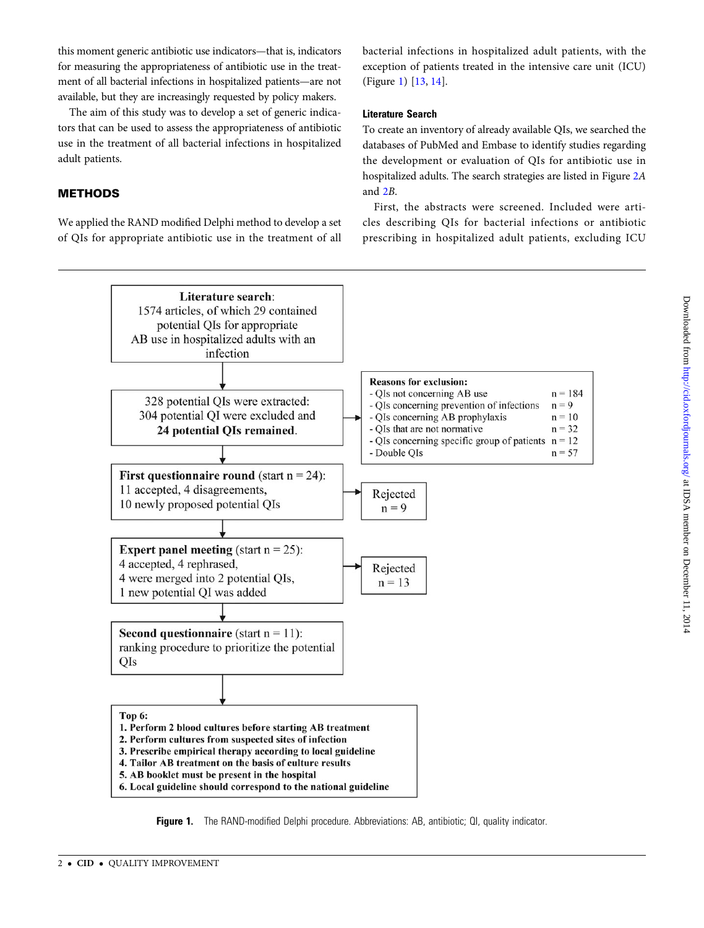<span id="page-1-0"></span>this moment generic antibiotic use indicators—that is, indicators for measuring the appropriateness of antibiotic use in the treatment of all bacterial infections in hospitalized patients—are not available, but they are increasingly requested by policy makers.

The aim of this study was to develop a set of generic indicators that can be used to assess the appropriateness of antibiotic use in the treatment of all bacterial infections in hospitalized adult patients.

## METHODS

We applied the RAND modified Delphi method to develop a set of QIs for appropriate antibiotic use in the treatment of all bacterial infections in hospitalized adult patients, with the exception of patients treated in the intensive care unit (ICU) (Figure 1) [[13](#page-10-0), [14](#page-10-0)].

## Literature Search

To create an inventory of already available QIs, we searched the databases of PubMed and Embase to identify studies regarding the development or evaluation of QIs for antibiotic use in hospitalized adults. The search strategies are listed in Figure [2](#page-2-0)A and [2](#page-2-0)B.

First, the abstracts were screened. Included were articles describing QIs for bacterial infections or antibiotic prescribing in hospitalized adult patients, excluding ICU



Figure 1. The RAND-modified Delphi procedure. Abbreviations: AB, antibiotic; QI, quality indicator.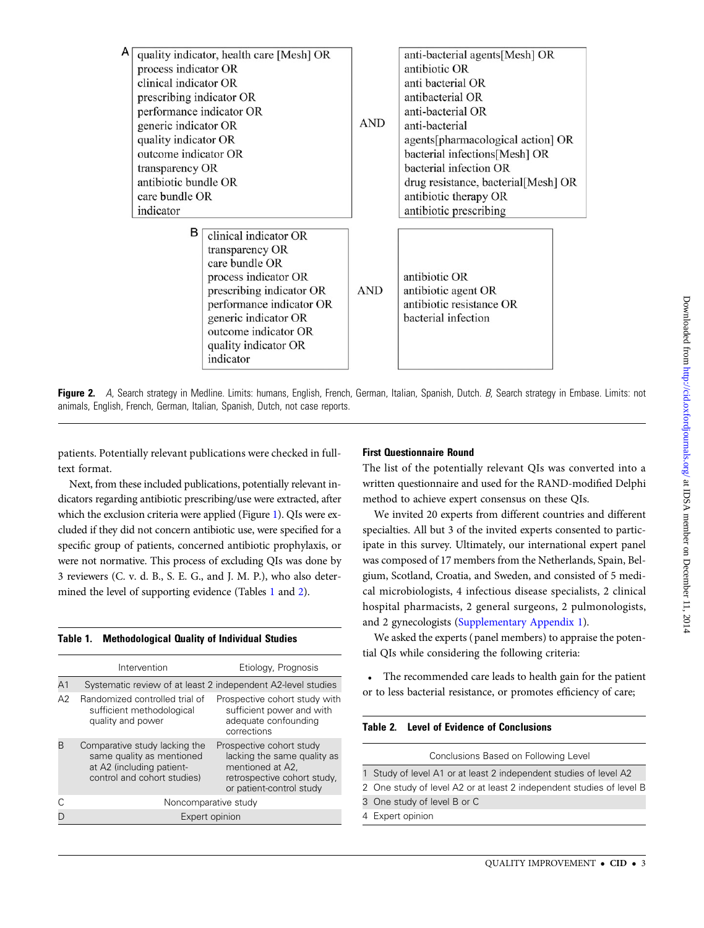<span id="page-2-0"></span>

| A                        |                          | quality indicator, health care [Mesh] OR |                          | anti-bacterial agents[Mesh] OR                                                               |  |  |
|--------------------------|--------------------------|------------------------------------------|--------------------------|----------------------------------------------------------------------------------------------|--|--|
|                          | process indicator OR     |                                          |                          | antibiotic OR                                                                                |  |  |
|                          | clinical indicator OR    |                                          |                          | anti bacterial OR                                                                            |  |  |
|                          | prescribing indicator OR |                                          |                          | antibacterial OR                                                                             |  |  |
|                          | performance indicator OR |                                          | <b>AND</b>               | anti-bacterial OR                                                                            |  |  |
|                          | generic indicator OR     |                                          |                          | anti-bacterial                                                                               |  |  |
|                          | quality indicator OR     |                                          |                          | agents[pharmacological action] OR<br>bacterial infections[Mesh] OR<br>bacterial infection OR |  |  |
|                          | outcome indicator OR     |                                          |                          |                                                                                              |  |  |
|                          | transparency OR          |                                          |                          |                                                                                              |  |  |
|                          | antibiotic bundle OR     |                                          |                          | drug resistance, bacterial[Mesh] OR                                                          |  |  |
|                          | care bundle OR           |                                          |                          | antibiotic therapy OR                                                                        |  |  |
|                          | indicator                |                                          |                          | antibiotic prescribing                                                                       |  |  |
|                          | в                        |                                          |                          |                                                                                              |  |  |
|                          |                          | clinical indicator OR                    |                          |                                                                                              |  |  |
|                          |                          | transparency OR                          |                          |                                                                                              |  |  |
|                          |                          | care bundle OR                           |                          |                                                                                              |  |  |
|                          | process indicator OR     |                                          |                          | antibiotic OR                                                                                |  |  |
|                          | prescribing indicator OR |                                          | <b>AND</b>               | antibiotic agent OR                                                                          |  |  |
| performance indicator OR |                          |                                          | antibiotic resistance OR |                                                                                              |  |  |
|                          | generic indicator OR     |                                          |                          | bacterial infection                                                                          |  |  |
| outcome indicator OR     |                          |                                          |                          |                                                                                              |  |  |
|                          |                          | quality indicator OR                     |                          |                                                                                              |  |  |
|                          |                          | indicator                                |                          |                                                                                              |  |  |

Figure 2. A, Search strategy in Medline. Limits: humans, English, French, German, Italian, Spanish, Dutch. B, Search strategy in Embase. Limits: not animals, English, French, German, Italian, Spanish, Dutch, not case reports.

patients. Potentially relevant publications were checked in fulltext format.

Next, from these included publications, potentially relevant indicators regarding antibiotic prescribing/use were extracted, after which the exclusion criteria were applied (Figure [1](#page-1-0)). QIs were excluded if they did not concern antibiotic use, were specified for a specific group of patients, concerned antibiotic prophylaxis, or were not normative. This process of excluding QIs was done by 3 reviewers (C. v. d. B., S. E. G., and J. M. P.), who also determined the level of supporting evidence (Tables 1 and 2).

#### Table 1. Methodological Quality of Individual Studies

|                | Intervention                                                                                                           | Etiology, Prognosis                                                                                                                    |  |  |  |  |
|----------------|------------------------------------------------------------------------------------------------------------------------|----------------------------------------------------------------------------------------------------------------------------------------|--|--|--|--|
| A <sub>1</sub> | Systematic review of at least 2 independent A2-level studies                                                           |                                                                                                                                        |  |  |  |  |
| A2             | Randomized controlled trial of<br>sufficient methodological<br>quality and power                                       | Prospective cohort study with<br>sufficient power and with<br>adequate confounding<br>corrections                                      |  |  |  |  |
|                | Comparative study lacking the<br>same quality as mentioned<br>at A2 (including patient-<br>control and cohort studies) | Prospective cohort study<br>lacking the same quality as<br>mentioned at A2,<br>retrospective cohort study,<br>or patient-control study |  |  |  |  |
|                | Noncomparative study                                                                                                   |                                                                                                                                        |  |  |  |  |
|                | Expert opinion                                                                                                         |                                                                                                                                        |  |  |  |  |

## First Questionnaire Round

The list of the potentially relevant QIs was converted into a written questionnaire and used for the RAND-modified Delphi method to achieve expert consensus on these QIs.

We invited 20 experts from different countries and different specialties. All but 3 of the invited experts consented to participate in this survey. Ultimately, our international expert panel was composed of 17 members from the Netherlands, Spain, Belgium, Scotland, Croatia, and Sweden, and consisted of 5 medical microbiologists, 4 infectious disease specialists, 2 clinical hospital pharmacists, 2 general surgeons, 2 pulmonologists, and 2 gynecologists ([Supplementary Appendix 1\)](http://cid.oxfordjournals.org/lookup/suppl/doi:10.1093/cid/ciu747/-/DC1).

We asked the experts ( panel members) to appraise the potential QIs while considering the following criteria:

• The recommended care leads to health gain for the patient or to less bacterial resistance, or promotes efficiency of care;

#### Table 2. Level of Evidence of Conclusions

| Conclusions Based on Following Level                                 |
|----------------------------------------------------------------------|
| 1 Study of level A1 or at least 2 independent studies of level A2    |
| 2 One study of level A2 or at least 2 independent studies of level B |
| 3 One study of level B or C                                          |
| 4 Expert opinion                                                     |
|                                                                      |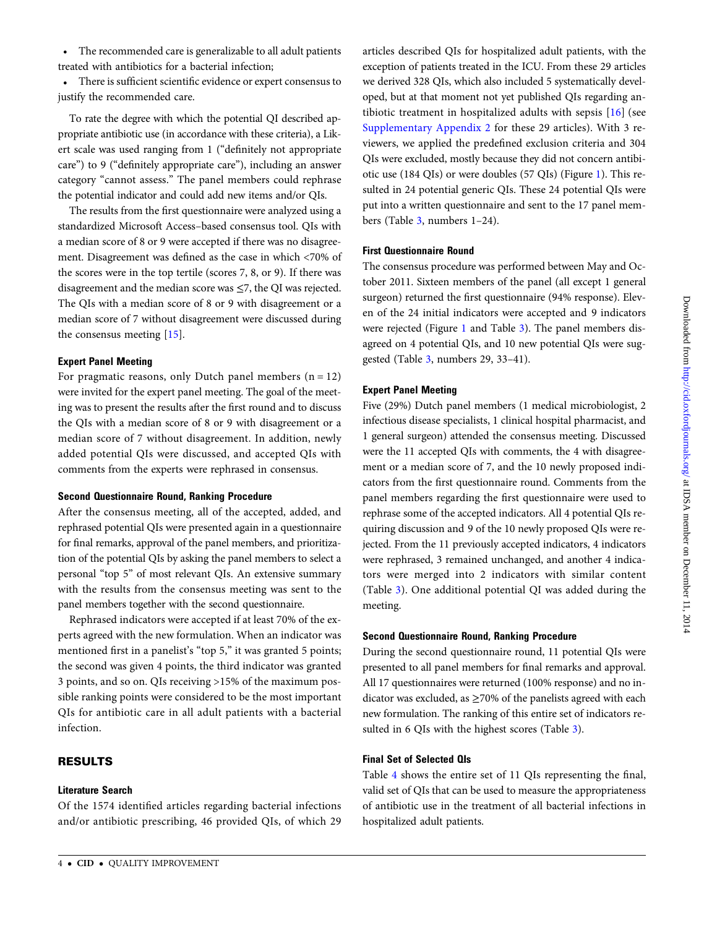• The recommended care is generalizable to all adult patients treated with antibiotics for a bacterial infection;

• There is sufficient scientific evidence or expert consensus to justify the recommended care.

To rate the degree with which the potential QI described appropriate antibiotic use (in accordance with these criteria), a Likert scale was used ranging from 1 ("definitely not appropriate care") to 9 ("definitely appropriate care"), including an answer category "cannot assess." The panel members could rephrase the potential indicator and could add new items and/or QIs.

The results from the first questionnaire were analyzed using a standardized Microsoft Access–based consensus tool. QIs with a median score of 8 or 9 were accepted if there was no disagreement. Disagreement was defined as the case in which <70% of the scores were in the top tertile (scores 7, 8, or 9). If there was disagreement and the median score was ≤7, the QI was rejected. The QIs with a median score of 8 or 9 with disagreement or a median score of 7 without disagreement were discussed during the consensus meeting [[15\]](#page-10-0).

#### Expert Panel Meeting

For pragmatic reasons, only Dutch panel members  $(n = 12)$ were invited for the expert panel meeting. The goal of the meeting was to present the results after the first round and to discuss the QIs with a median score of 8 or 9 with disagreement or a median score of 7 without disagreement. In addition, newly added potential QIs were discussed, and accepted QIs with comments from the experts were rephrased in consensus.

#### Second Questionnaire Round, Ranking Procedure

After the consensus meeting, all of the accepted, added, and rephrased potential QIs were presented again in a questionnaire for final remarks, approval of the panel members, and prioritization of the potential QIs by asking the panel members to select a personal "top 5" of most relevant QIs. An extensive summary with the results from the consensus meeting was sent to the panel members together with the second questionnaire.

Rephrased indicators were accepted if at least 70% of the experts agreed with the new formulation. When an indicator was mentioned first in a panelist's "top 5," it was granted 5 points; the second was given 4 points, the third indicator was granted 3 points, and so on. QIs receiving >15% of the maximum possible ranking points were considered to be the most important QIs for antibiotic care in all adult patients with a bacterial infection.

## RESULTS

#### Literature Search

Of the 1574 identified articles regarding bacterial infections and/or antibiotic prescribing, 46 provided QIs, of which 29

articles described QIs for hospitalized adult patients, with the exception of patients treated in the ICU. From these 29 articles we derived 328 QIs, which also included 5 systematically developed, but at that moment not yet published QIs regarding antibiotic treatment in hospitalized adults with sepsis [[16](#page-10-0)] (see [Supplementary Appendix 2](http://cid.oxfordjournals.org/lookup/suppl/doi:10.1093/cid/ciu747/-/DC1) for these 29 articles). With 3 reviewers, we applied the predefined exclusion criteria and 304 QIs were excluded, mostly because they did not concern antibiotic use (184 QIs) or were doubles (57 QIs) (Figure [1](#page-1-0)). This resulted in 24 potential generic QIs. These 24 potential QIs were put into a written questionnaire and sent to the 17 panel members (Table [3](#page-4-0), numbers 1–24).

## First Questionnaire Round

The consensus procedure was performed between May and October 2011. Sixteen members of the panel (all except 1 general surgeon) returned the first questionnaire (94% response). Eleven of the 24 initial indicators were accepted and 9 indicators were rejected (Figure [1](#page-1-0) and Table [3\)](#page-4-0). The panel members disagreed on 4 potential QIs, and 10 new potential QIs were suggested (Table [3,](#page-4-0) numbers 29, 33–41).

## Expert Panel Meeting

Five (29%) Dutch panel members (1 medical microbiologist, 2 infectious disease specialists, 1 clinical hospital pharmacist, and 1 general surgeon) attended the consensus meeting. Discussed were the 11 accepted QIs with comments, the 4 with disagreement or a median score of 7, and the 10 newly proposed indicators from the first questionnaire round. Comments from the panel members regarding the first questionnaire were used to rephrase some of the accepted indicators. All 4 potential QIs requiring discussion and 9 of the 10 newly proposed QIs were rejected. From the 11 previously accepted indicators, 4 indicators were rephrased, 3 remained unchanged, and another 4 indicators were merged into 2 indicators with similar content (Table [3](#page-4-0)). One additional potential QI was added during the meeting.

#### Second Questionnaire Round, Ranking Procedure

During the second questionnaire round, 11 potential QIs were presented to all panel members for final remarks and approval. All 17 questionnaires were returned (100% response) and no indicator was excluded, as  $\geq$ 70% of the panelists agreed with each new formulation. The ranking of this entire set of indicators resulted in 6 QIs with the highest scores (Table [3\)](#page-4-0).

#### Final Set of Selected QIs

Table [4](#page-8-0) shows the entire set of 11 QIs representing the final, valid set of QIs that can be used to measure the appropriateness of antibiotic use in the treatment of all bacterial infections in hospitalized adult patients.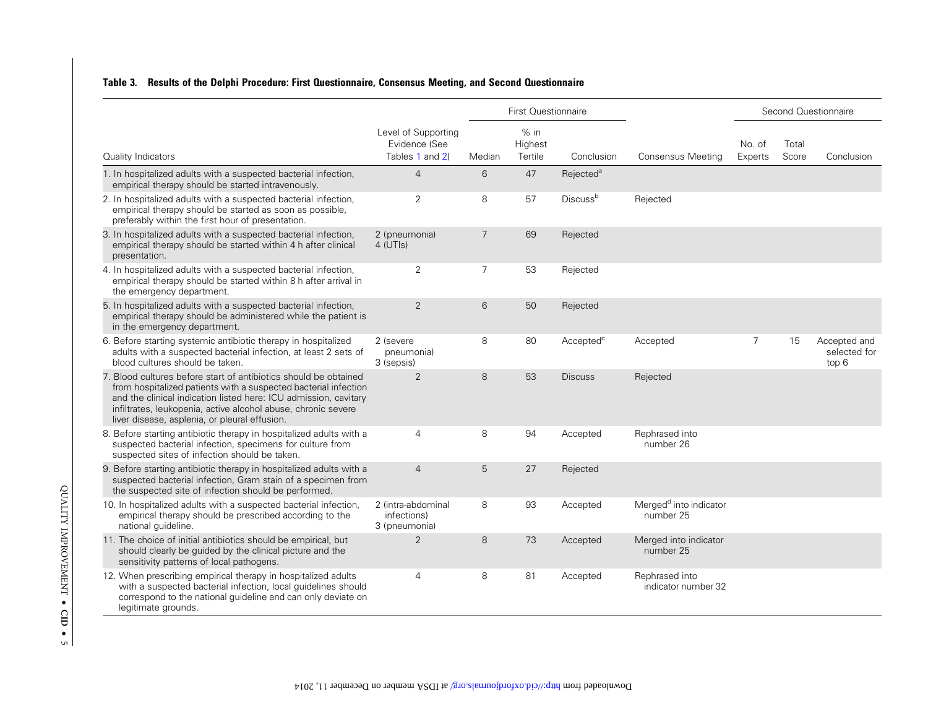## <span id="page-4-0"></span>Table 3. Results of the Delphi Procedure: First Questionnaire, Consensus Meeting, and Second Questionnaire

|                                                                                                                                                                                                                                                                                                                           | <b>First Questionnaire</b>                              |                |                              |                             |                                                 | Second Questionnaire |                |                                       |
|---------------------------------------------------------------------------------------------------------------------------------------------------------------------------------------------------------------------------------------------------------------------------------------------------------------------------|---------------------------------------------------------|----------------|------------------------------|-----------------------------|-------------------------------------------------|----------------------|----------------|---------------------------------------|
| Quality Indicators                                                                                                                                                                                                                                                                                                        | Level of Supporting<br>Evidence (See<br>Tables 1 and 2) | Median         | $%$ in<br>Highest<br>Tertile | Conclusion                  | Consensus Meeting                               | No. of<br>Experts    | Total<br>Score | Conclusion                            |
| 1. In hospitalized adults with a suspected bacterial infection,<br>empirical therapy should be started intravenously.                                                                                                                                                                                                     | $\overline{4}$                                          | 6              | 47                           | Rejected <sup>a</sup>       |                                                 |                      |                |                                       |
| 2. In hospitalized adults with a suspected bacterial infection,<br>empirical therapy should be started as soon as possible,<br>preferably within the first hour of presentation.                                                                                                                                          | $\overline{2}$                                          | 8              | 57                           | <b>Discuss</b> <sup>b</sup> | Rejected                                        |                      |                |                                       |
| 3. In hospitalized adults with a suspected bacterial infection,<br>empirical therapy should be started within 4 h after clinical<br>presentation.                                                                                                                                                                         | 2 (pneumonia)<br>4 (UTIs)                               | $\overline{7}$ | 69                           | Rejected                    |                                                 |                      |                |                                       |
| 4. In hospitalized adults with a suspected bacterial infection,<br>empirical therapy should be started within 8 h after arrival in<br>the emergency department.                                                                                                                                                           | $\overline{2}$                                          | $\overline{7}$ | 53                           | Rejected                    |                                                 |                      |                |                                       |
| 5. In hospitalized adults with a suspected bacterial infection,<br>empirical therapy should be administered while the patient is<br>in the emergency department.                                                                                                                                                          | $\overline{2}$                                          | 6              | 50                           | Rejected                    |                                                 |                      |                |                                       |
| 6. Before starting systemic antibiotic therapy in hospitalized<br>adults with a suspected bacterial infection, at least 2 sets of<br>blood cultures should be taken.                                                                                                                                                      | 2 (severe<br>pneumonia)<br>3 (sepsis)                   | 8              | 80                           | Accepted <sup>c</sup>       | Accepted                                        | 7                    | 15             | Accepted and<br>selected for<br>top 6 |
| 7. Blood cultures before start of antibiotics should be obtained<br>from hospitalized patients with a suspected bacterial infection<br>and the clinical indication listed here: ICU admission, cavitary<br>infiltrates, leukopenia, active alcohol abuse, chronic severe<br>liver disease, asplenia, or pleural effusion. | $\overline{2}$                                          | 8              | 53                           | <b>Discuss</b>              | Rejected                                        |                      |                |                                       |
| 8. Before starting antibiotic therapy in hospitalized adults with a<br>suspected bacterial infection, specimens for culture from<br>suspected sites of infection should be taken.                                                                                                                                         | 4                                                       | 8              | 94                           | Accepted                    | Rephrased into<br>number 26                     |                      |                |                                       |
| 9. Before starting antibiotic therapy in hospitalized adults with a<br>suspected bacterial infection, Gram stain of a specimen from<br>the suspected site of infection should be performed.                                                                                                                               | $\overline{4}$                                          | 5              | 27                           | Rejected                    |                                                 |                      |                |                                       |
| 10. In hospitalized adults with a suspected bacterial infection,<br>empirical therapy should be prescribed according to the<br>national quideline.                                                                                                                                                                        | 2 (intra-abdominal<br>infections)<br>3 (pneumonia)      | 8              | 93                           | Accepted                    | Merged <sup>d</sup> into indicator<br>number 25 |                      |                |                                       |
| 11. The choice of initial antibiotics should be empirical, but<br>should clearly be guided by the clinical picture and the<br>sensitivity patterns of local pathogens.                                                                                                                                                    | $\overline{2}$                                          | 8              | 73                           | Accepted                    | Merged into indicator<br>number 25              |                      |                |                                       |
| 12. When prescribing empirical therapy in hospitalized adults<br>with a suspected bacterial infection, local quidelines should<br>correspond to the national guideline and can only deviate on<br>legitimate grounds.                                                                                                     | $\overline{4}$                                          | 8              | 81                           | Accepted                    | Rephrased into<br>indicator number 32           |                      |                |                                       |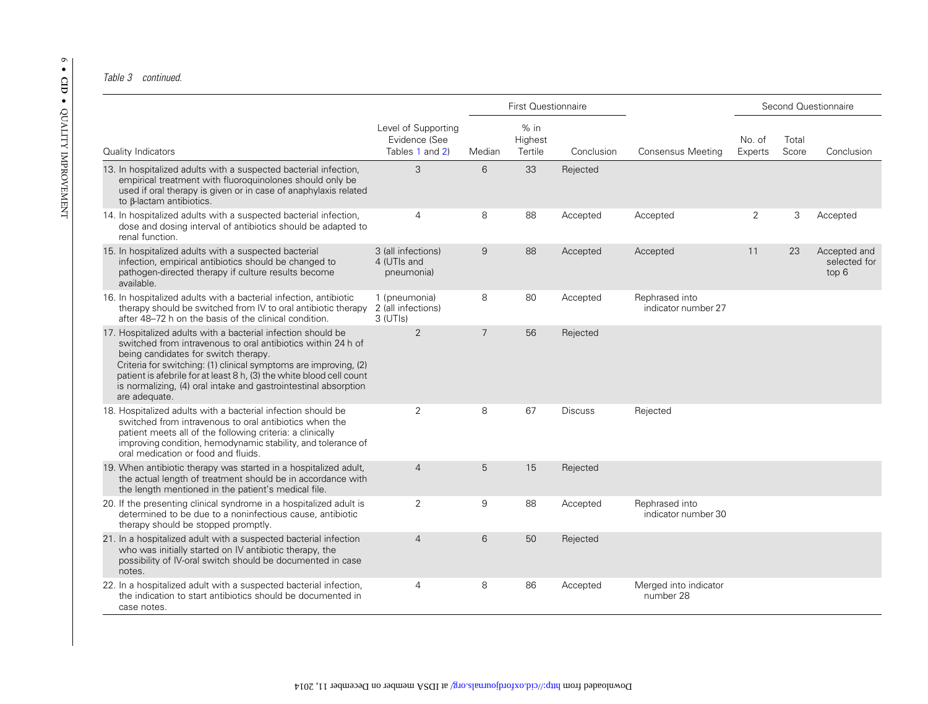#### Table 3 continued.

|                                                                                                                                                                                                                                                                                                                                                                                                      | <b>First Questionnaire</b>                              |                |                              |                |                                       | Second Questionnaire |                |                                       |
|------------------------------------------------------------------------------------------------------------------------------------------------------------------------------------------------------------------------------------------------------------------------------------------------------------------------------------------------------------------------------------------------------|---------------------------------------------------------|----------------|------------------------------|----------------|---------------------------------------|----------------------|----------------|---------------------------------------|
| Quality Indicators                                                                                                                                                                                                                                                                                                                                                                                   | Level of Supporting<br>Evidence (See<br>Tables 1 and 2) | Median         | $%$ in<br>Highest<br>Tertile | Conclusion     | Consensus Meeting                     | No. of<br>Experts    | Total<br>Score | Conclusion                            |
| 13. In hospitalized adults with a suspected bacterial infection,<br>empirical treatment with fluoroguinolones should only be<br>used if oral therapy is given or in case of anaphylaxis related<br>to β-lactam antibiotics.                                                                                                                                                                          | 3                                                       | 6              | 33                           | Rejected       |                                       |                      |                |                                       |
| 14. In hospitalized adults with a suspected bacterial infection,<br>dose and dosing interval of antibiotics should be adapted to<br>renal function.                                                                                                                                                                                                                                                  | $\overline{4}$                                          | 8              | 88                           | Accepted       | Accepted                              | 2                    | 3              | Accepted                              |
| 15. In hospitalized adults with a suspected bacterial<br>infection, empirical antibiotics should be changed to<br>pathogen-directed therapy if culture results become<br>available.                                                                                                                                                                                                                  | 3 (all infections)<br>4 (UTIs and<br>pneumonia)         | 9              | 88                           | Accepted       | Accepted                              | 11                   | 23             | Accepted and<br>selected for<br>top 6 |
| 16. In hospitalized adults with a bacterial infection, antibiotic<br>therapy should be switched from IV to oral antibiotic therapy<br>after 48–72 h on the basis of the clinical condition.                                                                                                                                                                                                          | 1 (pneumonia)<br>2 (all infections)<br>3 (UTIs)         | 8              | 80                           | Accepted       | Rephrased into<br>indicator number 27 |                      |                |                                       |
| 17. Hospitalized adults with a bacterial infection should be<br>switched from intravenous to oral antibiotics within 24 h of<br>being candidates for switch therapy.<br>Criteria for switching: (1) clinical symptoms are improving, (2)<br>patient is afebrile for at least 8 h, (3) the white blood cell count<br>is normalizing, (4) oral intake and gastrointestinal absorption<br>are adequate. | 2                                                       | $\overline{7}$ | 56                           | Rejected       |                                       |                      |                |                                       |
| 18. Hospitalized adults with a bacterial infection should be<br>switched from intravenous to oral antibiotics when the<br>patient meets all of the following criteria: a clinically<br>improving condition, hemodynamic stability, and tolerance of<br>oral medication or food and fluids.                                                                                                           | 2                                                       | 8              | 67                           | <b>Discuss</b> | Rejected                              |                      |                |                                       |
| 19. When antibiotic therapy was started in a hospitalized adult,<br>the actual length of treatment should be in accordance with<br>the length mentioned in the patient's medical file.                                                                                                                                                                                                               | $\overline{4}$                                          | 5              | 15                           | Rejected       |                                       |                      |                |                                       |
| 20. If the presenting clinical syndrome in a hospitalized adult is<br>determined to be due to a noninfectious cause, antibiotic<br>therapy should be stopped promptly.                                                                                                                                                                                                                               | 2                                                       | 9              | 88                           | Accepted       | Rephrased into<br>indicator number 30 |                      |                |                                       |
| 21. In a hospitalized adult with a suspected bacterial infection<br>who was initially started on IV antibiotic therapy, the<br>possibility of IV-oral switch should be documented in case<br>notes.                                                                                                                                                                                                  | $\overline{4}$                                          | 6              | 50                           | Rejected       |                                       |                      |                |                                       |
| 22. In a hospitalized adult with a suspected bacterial infection,<br>the indication to start antibiotics should be documented in<br>case notes.                                                                                                                                                                                                                                                      | $\overline{4}$                                          | 8              | 86                           | Accepted       | Merged into indicator<br>number 28    |                      |                |                                       |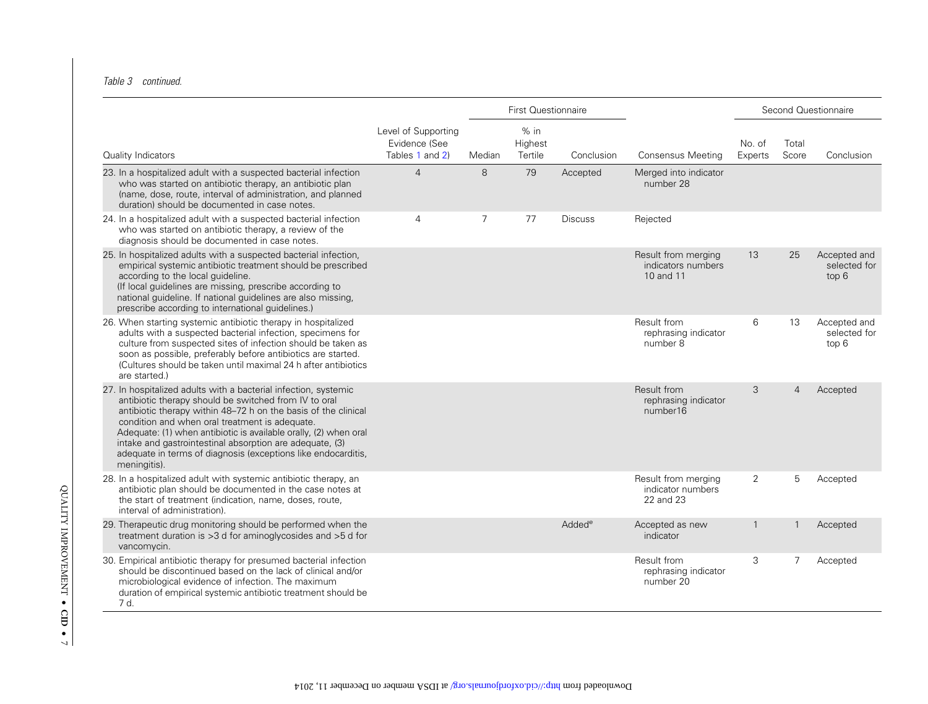#### Table 3 continued.

|                                                                                                                                                                                                                                                                                                                                                                                                                                                               |                                                         | First Questionnaire |                              |                    |                                                        |                   | Second Questionnaire |                                       |
|---------------------------------------------------------------------------------------------------------------------------------------------------------------------------------------------------------------------------------------------------------------------------------------------------------------------------------------------------------------------------------------------------------------------------------------------------------------|---------------------------------------------------------|---------------------|------------------------------|--------------------|--------------------------------------------------------|-------------------|----------------------|---------------------------------------|
| Quality Indicators                                                                                                                                                                                                                                                                                                                                                                                                                                            | Level of Supporting<br>Evidence (See<br>Tables 1 and 2) | Median              | $%$ in<br>Highest<br>Tertile | Conclusion         | <b>Consensus Meeting</b>                               | No. of<br>Experts | Total<br>Score       | Conclusion                            |
| 23. In a hospitalized adult with a suspected bacterial infection<br>who was started on antibiotic therapy, an antibiotic plan<br>(name, dose, route, interval of administration, and planned<br>duration) should be documented in case notes.                                                                                                                                                                                                                 | $\overline{4}$                                          | 8                   | 79                           | Accepted           | Merged into indicator<br>number 28                     |                   |                      |                                       |
| 24. In a hospitalized adult with a suspected bacterial infection<br>who was started on antibiotic therapy, a review of the<br>diagnosis should be documented in case notes.                                                                                                                                                                                                                                                                                   | $\overline{4}$                                          | $\overline{7}$      | 77                           | <b>Discuss</b>     | Rejected                                               |                   |                      |                                       |
| 25. In hospitalized adults with a suspected bacterial infection,<br>empirical systemic antibiotic treatment should be prescribed<br>according to the local quideline.<br>(If local guidelines are missing, prescribe according to<br>national quideline. If national quidelines are also missing,<br>prescribe according to international guidelines.)                                                                                                        |                                                         |                     |                              |                    | Result from merging<br>indicators numbers<br>10 and 11 | 13                | 25                   | Accepted and<br>selected for<br>top 6 |
| 26. When starting systemic antibiotic therapy in hospitalized<br>adults with a suspected bacterial infection, specimens for<br>culture from suspected sites of infection should be taken as<br>soon as possible, preferably before antibiotics are started.<br>(Cultures should be taken until maximal 24 h after antibiotics<br>are started.)                                                                                                                |                                                         |                     |                              |                    | Result from<br>rephrasing indicator<br>number 8        | 6                 | 13                   | Accepted and<br>selected for<br>top 6 |
| 27. In hospitalized adults with a bacterial infection, systemic<br>antibiotic therapy should be switched from IV to oral<br>antibiotic therapy within 48-72 h on the basis of the clinical<br>condition and when oral treatment is adequate.<br>Adequate: (1) when antibiotic is available orally, (2) when oral<br>intake and gastrointestinal absorption are adequate, (3)<br>adequate in terms of diagnosis (exceptions like endocarditis,<br>meningitis). |                                                         |                     |                              |                    | Result from<br>rephrasing indicator<br>number16        | 3                 | $\overline{4}$       | Accepted                              |
| 28. In a hospitalized adult with systemic antibiotic therapy, an<br>antibiotic plan should be documented in the case notes at<br>the start of treatment (indication, name, doses, route,<br>interval of administration).                                                                                                                                                                                                                                      |                                                         |                     |                              |                    | Result from merging<br>indicator numbers<br>22 and 23  | 2                 | 5                    | Accepted                              |
| 29. Therapeutic drug monitoring should be performed when the<br>treatment duration is >3 d for aminoglycosides and >5 d for<br>vancomycin.                                                                                                                                                                                                                                                                                                                    |                                                         |                     |                              | Added <sup>e</sup> | Accepted as new<br>indicator                           | $\mathbf{1}$      | -1                   | Accepted                              |
| 30. Empirical antibiotic therapy for presumed bacterial infection<br>should be discontinued based on the lack of clinical and/or<br>microbiological evidence of infection. The maximum<br>duration of empirical systemic antibiotic treatment should be<br>7 d.                                                                                                                                                                                               |                                                         |                     |                              |                    | Result from<br>rephrasing indicator<br>number 20       | 3                 | 7                    | Accepted                              |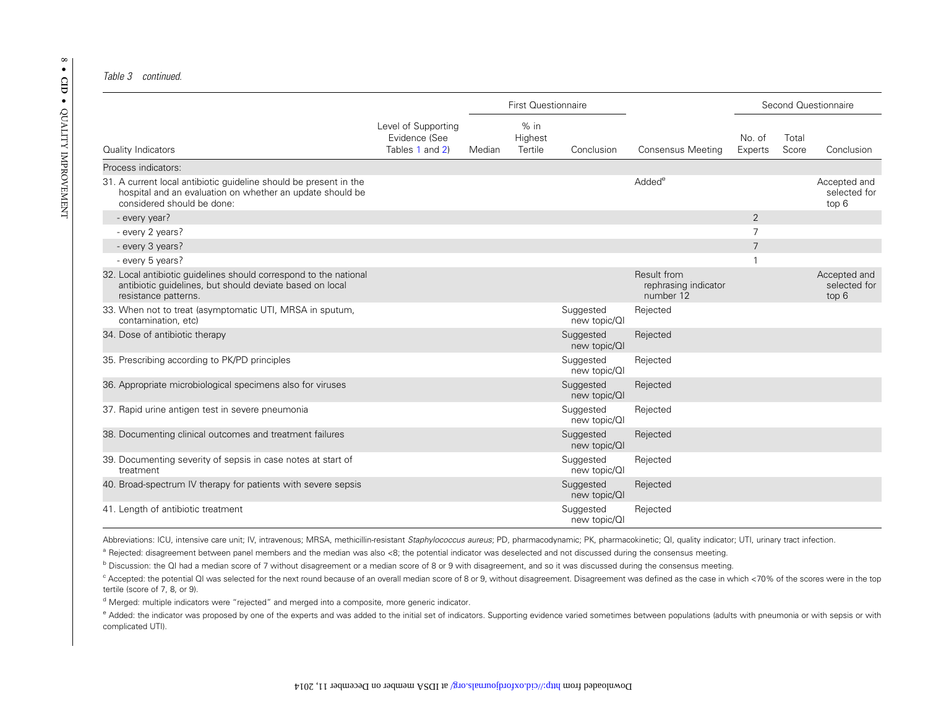#### Table 3 continued.

|                                                                                                                                                              |                                                         | <b>First Questionnaire</b> |                              |                           | Second Questionnaire                             |                   |                |                                       |
|--------------------------------------------------------------------------------------------------------------------------------------------------------------|---------------------------------------------------------|----------------------------|------------------------------|---------------------------|--------------------------------------------------|-------------------|----------------|---------------------------------------|
| Quality Indicators                                                                                                                                           | Level of Supporting<br>Evidence (See<br>Tables 1 and 2) | Median                     | $%$ in<br>Highest<br>Tertile | Conclusion                | Consensus Meeting                                | No. of<br>Experts | Total<br>Score | Conclusion                            |
| Process indicators:                                                                                                                                          |                                                         |                            |                              |                           |                                                  |                   |                |                                       |
| 31. A current local antibiotic guideline should be present in the<br>hospital and an evaluation on whether an update should be<br>considered should be done: |                                                         |                            |                              |                           | Added <sup>e</sup>                               |                   |                | Accepted and<br>selected for<br>top 6 |
| - every year?                                                                                                                                                |                                                         |                            |                              |                           |                                                  | 2                 |                |                                       |
| - every 2 years?                                                                                                                                             |                                                         |                            |                              |                           |                                                  | $\overline{7}$    |                |                                       |
| - every 3 years?                                                                                                                                             |                                                         |                            |                              |                           |                                                  | $\overline{7}$    |                |                                       |
| - every 5 years?                                                                                                                                             |                                                         |                            |                              |                           |                                                  |                   |                |                                       |
| 32. Local antibiotic quidelines should correspond to the national<br>antibiotic quidelines, but should deviate based on local<br>resistance patterns.        |                                                         |                            |                              |                           | Result from<br>rephrasing indicator<br>number 12 |                   |                | Accepted and<br>selected for<br>top 6 |
| 33. When not to treat (asymptomatic UTI, MRSA in sputum,<br>contamination, etc)                                                                              |                                                         |                            |                              | Suggested<br>new topic/QI | Rejected                                         |                   |                |                                       |
| 34. Dose of antibiotic therapy                                                                                                                               |                                                         |                            |                              | Suggested<br>new topic/QI | Rejected                                         |                   |                |                                       |
| 35. Prescribing according to PK/PD principles                                                                                                                |                                                         |                            |                              | Suggested<br>new topic/QI | Rejected                                         |                   |                |                                       |
| 36. Appropriate microbiological specimens also for viruses                                                                                                   |                                                         |                            |                              | Suggested<br>new topic/QI | Rejected                                         |                   |                |                                       |
| 37. Rapid urine antigen test in severe pneumonia                                                                                                             |                                                         |                            |                              | Suggested<br>new topic/QI | Rejected                                         |                   |                |                                       |
| 38. Documenting clinical outcomes and treatment failures                                                                                                     |                                                         |                            |                              | Suggested<br>new topic/QI | Rejected                                         |                   |                |                                       |
| 39. Documenting severity of sepsis in case notes at start of<br>treatment                                                                                    |                                                         |                            |                              | Suggested<br>new topic/QI | Rejected                                         |                   |                |                                       |
| 40. Broad-spectrum IV therapy for patients with severe sepsis                                                                                                |                                                         |                            |                              | Suggested<br>new topic/QI | Rejected                                         |                   |                |                                       |
| 41. Length of antibiotic treatment                                                                                                                           |                                                         |                            |                              | Suggested<br>new topic/QI | Rejected                                         |                   |                |                                       |

Abbreviations: ICU, intensive care unit; IV, intravenous; MRSA, methicillin-resistant Staphylococcus aureus; PD, pharmacodynamic; PK, pharmacokinetic; QI, quality indicator; UTI, urinary tract infection.

<sup>a</sup> Rejected: disagreement between panel members and the median was also <8; the potential indicator was deselected and not discussed during the consensus meeting.

**b** Discussion: the QI had a median score of 7 without disagreement or a median score of 8 or 9 with disagreement, and so it was discussed during the consensus meeting.

 $^{\rm c}$  Accepted: the potential QI was selected for the next round because of an overall median score of 8 or 9, without disagreement. Disagreement was defined as the case in which <70% of the scores were in the top tertile (score of 7, 8, or 9).

<sup>d</sup> Merged: multiple indicators were "rejected" and merged into a composite, more generic indicator.

e Added: the indicator was proposed by one of the experts and was added to the initial set of indicators. Supporting evidence varied sometimes between populations (adults with pneumonia or with sepsis or with complicated UTI).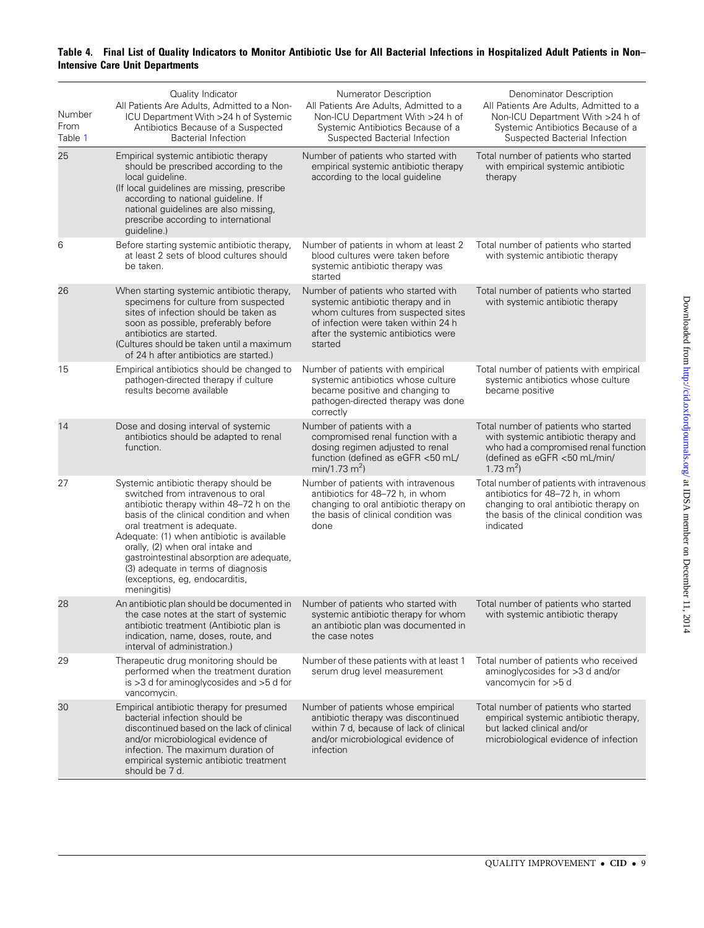## <span id="page-8-0"></span>Table 4. Final List of Quality Indicators to Monitor Antibiotic Use for All Bacterial Infections in Hospitalized Adult Patients in Non– Intensive Care Unit Departments

| Number<br>From<br>Table 1 | Quality Indicator<br>All Patients Are Adults, Admitted to a Non-<br>ICU Department With >24 h of Systemic<br>Antibiotics Because of a Suspected<br><b>Bacterial Infection</b>                                                                                                                                                                                                                                           | <b>Numerator Description</b><br>All Patients Are Adults, Admitted to a<br>Non-ICU Department With >24 h of<br>Systemic Antibiotics Because of a<br>Suspected Bacterial Infection                         | Denominator Description<br>All Patients Are Adults, Admitted to a<br>Non-ICU Department With >24 h of<br>Systemic Antibiotics Because of a<br>Suspected Bacterial Infection     |
|---------------------------|-------------------------------------------------------------------------------------------------------------------------------------------------------------------------------------------------------------------------------------------------------------------------------------------------------------------------------------------------------------------------------------------------------------------------|----------------------------------------------------------------------------------------------------------------------------------------------------------------------------------------------------------|---------------------------------------------------------------------------------------------------------------------------------------------------------------------------------|
| 25                        | Empirical systemic antibiotic therapy<br>should be prescribed according to the<br>local guideline.<br>(If local guidelines are missing, prescribe<br>according to national guideline. If<br>national guidelines are also missing,<br>prescribe according to international<br>quideline.)                                                                                                                                | Number of patients who started with<br>empirical systemic antibiotic therapy<br>according to the local guideline                                                                                         | Total number of patients who started<br>with empirical systemic antibiotic<br>therapy                                                                                           |
| 6                         | Before starting systemic antibiotic therapy,<br>at least 2 sets of blood cultures should<br>be taken.                                                                                                                                                                                                                                                                                                                   | Number of patients in whom at least 2<br>blood cultures were taken before<br>systemic antibiotic therapy was<br>started                                                                                  | Total number of patients who started<br>with systemic antibiotic therapy                                                                                                        |
| 26                        | When starting systemic antibiotic therapy,<br>specimens for culture from suspected<br>sites of infection should be taken as<br>soon as possible, preferably before<br>antibiotics are started.<br>(Cultures should be taken until a maximum<br>of 24 h after antibiotics are started.)                                                                                                                                  | Number of patients who started with<br>systemic antibiotic therapy and in<br>whom cultures from suspected sites<br>of infection were taken within 24 h<br>after the systemic antibiotics were<br>started | Total number of patients who started<br>with systemic antibiotic therapy                                                                                                        |
| 15                        | Empirical antibiotics should be changed to<br>pathogen-directed therapy if culture<br>results become available                                                                                                                                                                                                                                                                                                          | Number of patients with empirical<br>systemic antibiotics whose culture<br>became positive and changing to<br>pathogen-directed therapy was done<br>correctly                                            | Total number of patients with empirical<br>systemic antibiotics whose culture<br>became positive                                                                                |
| 14                        | Dose and dosing interval of systemic<br>antibiotics should be adapted to renal<br>function.                                                                                                                                                                                                                                                                                                                             | Number of patients with a<br>compromised renal function with a<br>dosing regimen adjusted to renal<br>function (defined as eGFR <50 mL/<br>$min/1.73$ m <sup>2</sup> )                                   | Total number of patients who started<br>with systemic antibiotic therapy and<br>who had a compromised renal function<br>(defined as eGFR <50 mL/min/<br>1.73 $m2$ )             |
| 27                        | Systemic antibiotic therapy should be<br>switched from intravenous to oral<br>antibiotic therapy within 48-72 h on the<br>basis of the clinical condition and when<br>oral treatment is adequate.<br>Adequate: (1) when antibiotic is available<br>orally, (2) when oral intake and<br>gastrointestinal absorption are adequate,<br>(3) adequate in terms of diagnosis<br>(exceptions, eg, endocarditis,<br>meningitis) | Number of patients with intravenous<br>antibiotics for 48-72 h, in whom<br>changing to oral antibiotic therapy on<br>the basis of clinical condition was<br>done                                         | Total number of patients with intravenous<br>antibiotics for 48-72 h, in whom<br>changing to oral antibiotic therapy on<br>the basis of the clinical condition was<br>indicated |
| 28                        | An antibiotic plan should be documented in Number of patients who started with<br>the case notes at the start of systemic<br>antibiotic treatment (Antibiotic plan is<br>indication, name, doses, route, and<br>interval of administration.)                                                                                                                                                                            | systemic antibiotic therapy for whom<br>an antibiotic plan was documented in<br>the case notes                                                                                                           | Total number of patients who started<br>with systemic antibiotic therapy                                                                                                        |
| 29                        | Therapeutic drug monitoring should be<br>performed when the treatment duration<br>is $>3$ d for aminoglycosides and $>5$ d for<br>vancomycin.                                                                                                                                                                                                                                                                           | Number of these patients with at least 1<br>serum drug level measurement                                                                                                                                 | Total number of patients who received<br>aminoglycosides for >3 d and/or<br>vancomycin for >5 d                                                                                 |
| 30                        | Empirical antibiotic therapy for presumed<br>bacterial infection should be<br>discontinued based on the lack of clinical<br>and/or microbiological evidence of<br>infection. The maximum duration of<br>empirical systemic antibiotic treatment<br>should be 7 d.                                                                                                                                                       | Number of patients whose empirical<br>antibiotic therapy was discontinued<br>within 7 d, because of lack of clinical<br>and/or microbiological evidence of<br><i>infection</i>                           | Total number of patients who started<br>empirical systemic antibiotic therapy,<br>but lacked clinical and/or<br>microbiological evidence of infection                           |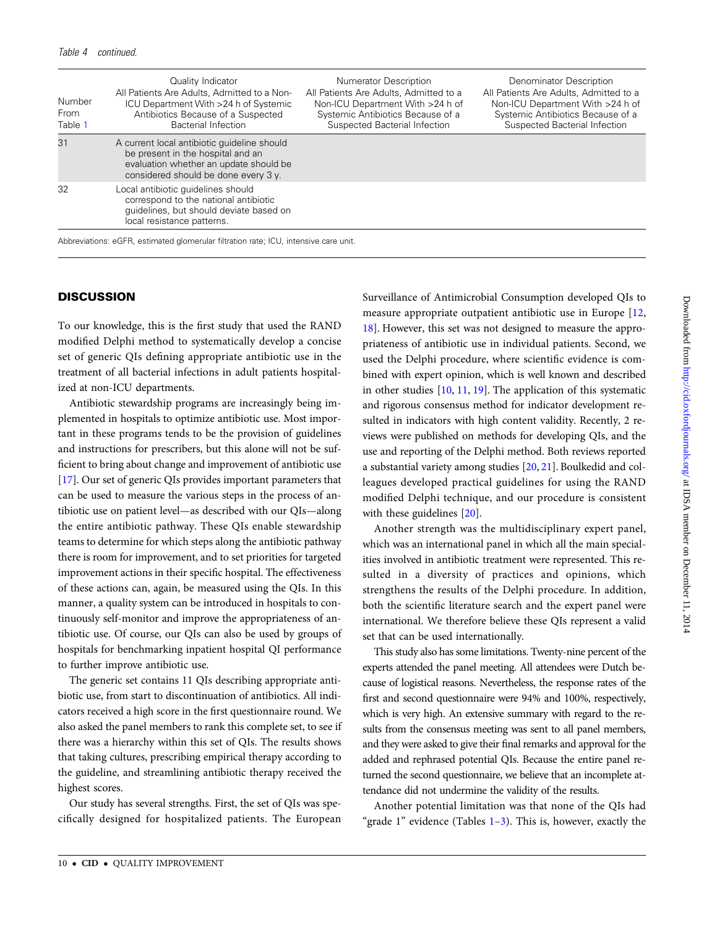| Number<br>From<br>Table 1 | Quality Indicator<br>All Patients Are Adults, Admitted to a Non-<br>ICU Department With >24 h of Systemic<br>Antibiotics Because of a Suspected<br>Bacterial Infection | Numerator Description<br>All Patients Are Adults, Admitted to a<br>Non-ICU Department With >24 h of<br>Systemic Antibiotics Because of a<br>Suspected Bacterial Infection | Denominator Description<br>All Patients Are Adults, Admitted to a<br>Non-ICU Department With >24 h of<br>Systemic Antibiotics Because of a<br>Suspected Bacterial Infection |
|---------------------------|------------------------------------------------------------------------------------------------------------------------------------------------------------------------|---------------------------------------------------------------------------------------------------------------------------------------------------------------------------|-----------------------------------------------------------------------------------------------------------------------------------------------------------------------------|
| 31                        | A current local antibiotic quideline should<br>be present in the hospital and an<br>evaluation whether an update should be<br>considered should be done every 3 y.     |                                                                                                                                                                           |                                                                                                                                                                             |
| 32                        | Local antibiotic quidelines should<br>correspond to the national antibiotic<br>quidelines, but should deviate based on<br>local resistance patterns.                   |                                                                                                                                                                           |                                                                                                                                                                             |

Abbreviations: eGFR, estimated glomerular filtration rate; ICU, intensive care unit.

## **DISCUSSION**

To our knowledge, this is the first study that used the RAND modified Delphi method to systematically develop a concise set of generic QIs defining appropriate antibiotic use in the treatment of all bacterial infections in adult patients hospitalized at non-ICU departments.

Antibiotic stewardship programs are increasingly being implemented in hospitals to optimize antibiotic use. Most important in these programs tends to be the provision of guidelines and instructions for prescribers, but this alone will not be sufficient to bring about change and improvement of antibiotic use [\[17](#page-10-0)]. Our set of generic QIs provides important parameters that can be used to measure the various steps in the process of antibiotic use on patient level—as described with our QIs—along the entire antibiotic pathway. These QIs enable stewardship teams to determine for which steps along the antibiotic pathway there is room for improvement, and to set priorities for targeted improvement actions in their specific hospital. The effectiveness of these actions can, again, be measured using the QIs. In this manner, a quality system can be introduced in hospitals to continuously self-monitor and improve the appropriateness of antibiotic use. Of course, our QIs can also be used by groups of hospitals for benchmarking inpatient hospital QI performance to further improve antibiotic use.

The generic set contains 11 QIs describing appropriate antibiotic use, from start to discontinuation of antibiotics. All indicators received a high score in the first questionnaire round. We also asked the panel members to rank this complete set, to see if there was a hierarchy within this set of QIs. The results shows that taking cultures, prescribing empirical therapy according to the guideline, and streamlining antibiotic therapy received the highest scores.

Our study has several strengths. First, the set of QIs was specifically designed for hospitalized patients. The European Surveillance of Antimicrobial Consumption developed QIs to measure appropriate outpatient antibiotic use in Europe [[12,](#page-10-0) [18](#page-10-0)]. However, this set was not designed to measure the appropriateness of antibiotic use in individual patients. Second, we used the Delphi procedure, where scientific evidence is combined with expert opinion, which is well known and described in other studies [\[10](#page-10-0), [11,](#page-10-0) [19](#page-10-0)]. The application of this systematic and rigorous consensus method for indicator development resulted in indicators with high content validity. Recently, 2 reviews were published on methods for developing QIs, and the use and reporting of the Delphi method. Both reviews reported a substantial variety among studies [[20,](#page-10-0) [21\]](#page-10-0). Boulkedid and colleagues developed practical guidelines for using the RAND modified Delphi technique, and our procedure is consistent with these guidelines [\[20](#page-10-0)].

Another strength was the multidisciplinary expert panel, which was an international panel in which all the main specialities involved in antibiotic treatment were represented. This resulted in a diversity of practices and opinions, which strengthens the results of the Delphi procedure. In addition, both the scientific literature search and the expert panel were international. We therefore believe these QIs represent a valid set that can be used internationally.

This study also has some limitations. Twenty-nine percent of the experts attended the panel meeting. All attendees were Dutch because of logistical reasons. Nevertheless, the response rates of the first and second questionnaire were 94% and 100%, respectively, which is very high. An extensive summary with regard to the results from the consensus meeting was sent to all panel members, and they were asked to give their final remarks and approval for the added and rephrased potential QIs. Because the entire panel returned the second questionnaire, we believe that an incomplete attendance did not undermine the validity of the results.

Another potential limitation was that none of the QIs had "grade  $1$ " evidence (Tables  $1-3$ ). This is, however, exactly the